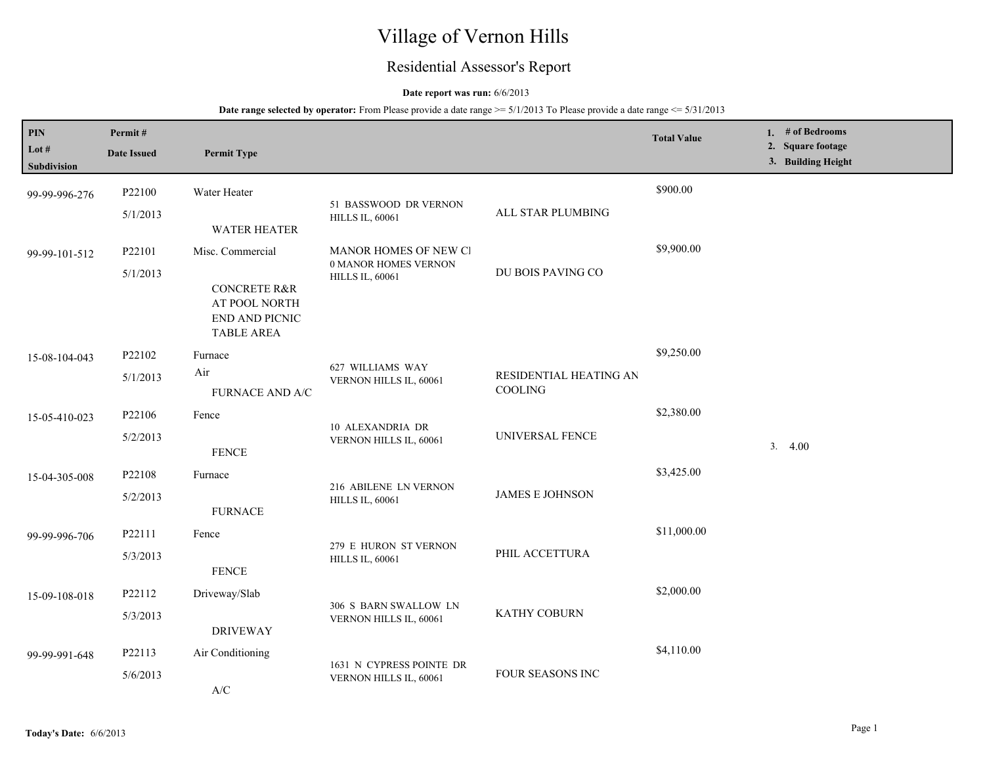# Village of Vernon Hills

## Residential Assessor's Report

## **Date report was run:** 6/6/2013

| PIN<br>Lot $#$<br>Subdivision | Permit#<br><b>Date Issued</b> | <b>Permit Type</b>                                                                                  |                                                                         |                                   | <b>Total Value</b> | 1. # of Bedrooms<br>2. Square footage<br>3. Building Height |
|-------------------------------|-------------------------------|-----------------------------------------------------------------------------------------------------|-------------------------------------------------------------------------|-----------------------------------|--------------------|-------------------------------------------------------------|
| 99-99-996-276                 | P22100<br>5/1/2013            | Water Heater<br><b>WATER HEATER</b>                                                                 | 51 BASSWOOD DR VERNON<br><b>HILLS IL, 60061</b>                         | ALL STAR PLUMBING                 | \$900.00           |                                                             |
| 99-99-101-512                 | P22101<br>5/1/2013            | Misc. Commercial<br><b>CONCRETE R&amp;R</b><br>AT POOL NORTH<br>END AND PICNIC<br><b>TABLE AREA</b> | MANOR HOMES OF NEW CI<br>0 MANOR HOMES VERNON<br><b>HILLS IL, 60061</b> | DU BOIS PAVING CO                 | \$9,900.00         |                                                             |
| 15-08-104-043                 | P22102<br>5/1/2013            | Furnace<br>Air<br><b>FURNACE AND A/C</b>                                                            | 627 WILLIAMS WAY<br>VERNON HILLS IL, 60061                              | RESIDENTIAL HEATING AN<br>COOLING | \$9,250.00         |                                                             |
| 15-05-410-023                 | P22106<br>5/2/2013            | Fence<br><b>FENCE</b>                                                                               | 10 ALEXANDRIA DR<br>VERNON HILLS IL, 60061                              | UNIVERSAL FENCE                   | \$2,380.00         | 3.4.00                                                      |
| 15-04-305-008                 | P22108<br>5/2/2013            | Furnace<br><b>FURNACE</b>                                                                           | 216 ABILENE LN VERNON<br><b>HILLS IL, 60061</b>                         | <b>JAMES E JOHNSON</b>            | \$3,425.00         |                                                             |
| 99-99-996-706                 | P22111<br>5/3/2013            | Fence<br><b>FENCE</b>                                                                               | 279 E HURON ST VERNON<br><b>HILLS IL, 60061</b>                         | PHIL ACCETTURA                    | \$11,000.00        |                                                             |
| 15-09-108-018                 | P22112<br>5/3/2013            | Driveway/Slab<br><b>DRIVEWAY</b>                                                                    | 306 S BARN SWALLOW LN<br>VERNON HILLS IL, 60061                         | KATHY COBURN                      | \$2,000.00         |                                                             |
| 99-99-991-648                 | P22113<br>5/6/2013            | Air Conditioning<br>A/C                                                                             | 1631 N CYPRESS POINTE DR<br>VERNON HILLS IL, 60061                      | FOUR SEASONS INC                  | \$4,110.00         |                                                             |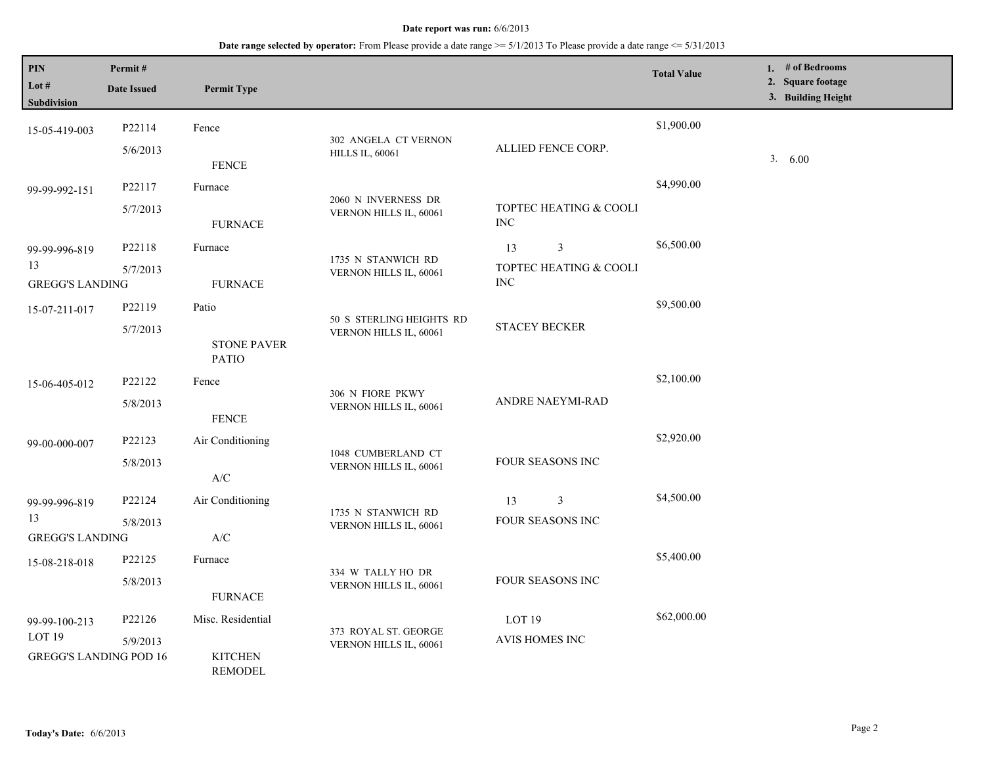| <b>PIN</b><br>Lot $#$<br>Subdivision                                | Permit#<br><b>Date Issued</b> | <b>Permit Type</b>                                                              |                                                    |                                                 | <b>Total Value</b> | 1. $#$ of Bedrooms<br>2. Square footage<br>3. Building Height |
|---------------------------------------------------------------------|-------------------------------|---------------------------------------------------------------------------------|----------------------------------------------------|-------------------------------------------------|--------------------|---------------------------------------------------------------|
| 15-05-419-003                                                       | P22114<br>5/6/2013            | Fence<br><b>FENCE</b>                                                           | 302 ANGELA CT VERNON<br><b>HILLS IL, 60061</b>     | ALLIED FENCE CORP.                              | \$1,900.00         | 3.<br>6.00                                                    |
| 99-99-992-151                                                       | P22117<br>5/7/2013            | Furnace<br><b>FURNACE</b>                                                       | 2060 N INVERNESS DR<br>VERNON HILLS IL, 60061      | TOPTEC HEATING & COOLI<br><b>INC</b>            | \$4,990.00         |                                                               |
| 99-99-996-819<br>13<br><b>GREGG'S LANDING</b>                       | P22118<br>5/7/2013            | Furnace<br><b>FURNACE</b>                                                       | 1735 N STANWICH RD<br>VERNON HILLS IL, 60061       | 3<br>13<br>TOPTEC HEATING & COOLI<br><b>INC</b> | \$6,500.00         |                                                               |
| 15-07-211-017                                                       | P22119<br>5/7/2013            | Patio<br><b>STONE PAVER</b><br><b>PATIO</b>                                     | 50 S STERLING HEIGHTS RD<br>VERNON HILLS IL, 60061 | <b>STACEY BECKER</b>                            | \$9,500.00         |                                                               |
| 15-06-405-012                                                       | P22122<br>5/8/2013            | Fence<br><b>FENCE</b>                                                           | 306 N FIORE PKWY<br>VERNON HILLS IL, 60061         | <b>ANDRE NAEYMI-RAD</b>                         | \$2,100.00         |                                                               |
| 99-00-000-007                                                       | P22123<br>5/8/2013            | Air Conditioning<br>$\ensuremath{\text{A}}\xspace/\ensuremath{\text{C}}\xspace$ | 1048 CUMBERLAND CT<br>VERNON HILLS IL, 60061       | FOUR SEASONS INC                                | \$2,920.00         |                                                               |
| 99-99-996-819<br>13<br><b>GREGG'S LANDING</b>                       | P22124<br>5/8/2013            | Air Conditioning<br>$\ensuremath{\text{A}}\xspace/\ensuremath{\text{C}}\xspace$ | 1735 N STANWICH RD<br>VERNON HILLS IL, 60061       | 3<br>13<br>FOUR SEASONS INC                     | \$4,500.00         |                                                               |
| 15-08-218-018                                                       | P22125<br>5/8/2013            | Furnace<br><b>FURNACE</b>                                                       | 334 W TALLY HO DR<br>VERNON HILLS IL, 60061        | <b>FOUR SEASONS INC</b>                         | \$5,400.00         |                                                               |
| 99-99-100-213<br>LOT <sub>19</sub><br><b>GREGG'S LANDING POD 16</b> | P22126<br>5/9/2013            | Misc. Residential<br><b>KITCHEN</b><br><b>REMODEL</b>                           | 373 ROYAL ST. GEORGE<br>VERNON HILLS IL, 60061     | LOT <sub>19</sub><br><b>AVIS HOMES INC</b>      | \$62,000.00        |                                                               |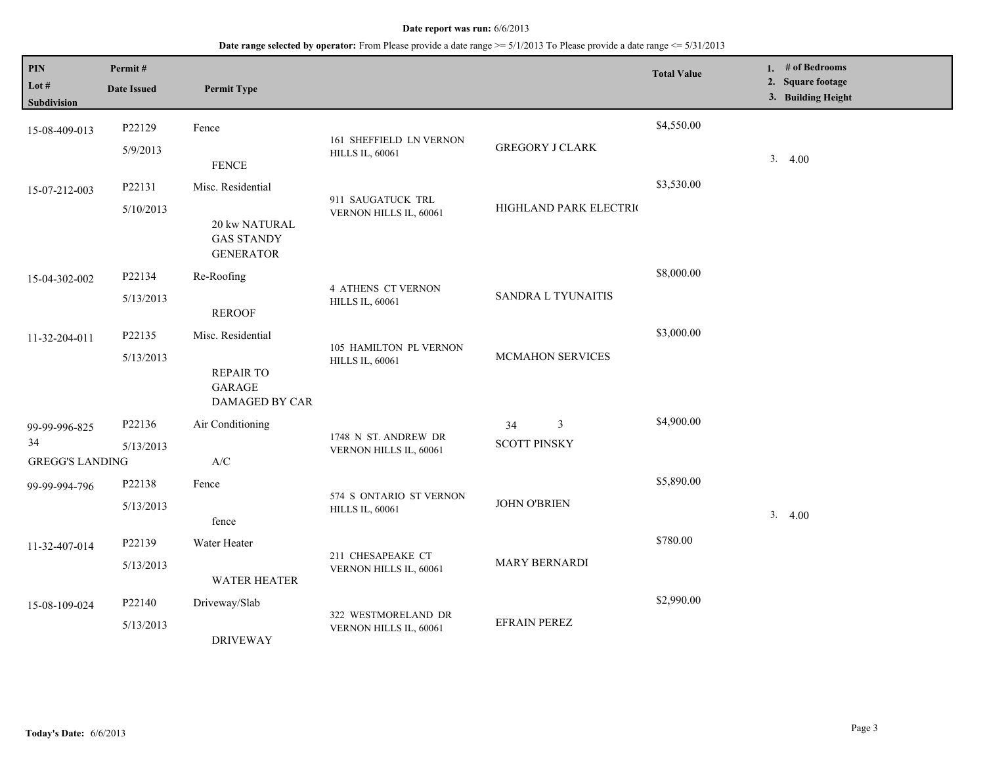| $\mathbf{PIN}$<br>Lot $#$<br>Subdivision      | Permit#<br><b>Date Issued</b> | <b>Permit Type</b>                                                                  |                                                     |                                | <b>Total Value</b> | 1. # of Bedrooms<br>2. Square footage<br>3. Building Height |
|-----------------------------------------------|-------------------------------|-------------------------------------------------------------------------------------|-----------------------------------------------------|--------------------------------|--------------------|-------------------------------------------------------------|
| 15-08-409-013                                 | P22129<br>5/9/2013            | Fence<br><b>FENCE</b>                                                               | 161 SHEFFIELD LN VERNON<br><b>HILLS IL, 60061</b>   | <b>GREGORY J CLARK</b>         | \$4,550.00         | 3.4.00                                                      |
| 15-07-212-003                                 | P22131<br>5/10/2013           | Misc. Residential<br>20 kw NATURAL<br><b>GAS STANDY</b><br><b>GENERATOR</b>         | 911 SAUGATUCK TRL<br>VERNON HILLS IL, 60061         | HIGHLAND PARK ELECTRIC         | \$3,530.00         |                                                             |
| 15-04-302-002                                 | P22134<br>5/13/2013           | Re-Roofing<br><b>REROOF</b>                                                         | <b>4 ATHENS CT VERNON</b><br><b>HILLS IL, 60061</b> | SANDRA L TYUNAITIS             | \$8,000.00         |                                                             |
| 11-32-204-011                                 | P22135<br>5/13/2013           | Misc. Residential<br><b>REPAIR TO</b><br><b>GARAGE</b><br>DAMAGED BY CAR            | 105 HAMILTON PL VERNON<br><b>HILLS IL, 60061</b>    | MCMAHON SERVICES               | \$3,000.00         |                                                             |
| 99-99-996-825<br>34<br><b>GREGG'S LANDING</b> | P22136<br>5/13/2013           | Air Conditioning<br>$\ensuremath{\mathsf{A}}\xspace/\ensuremath{\mathsf{C}}\xspace$ | 1748 N ST. ANDREW DR<br>VERNON HILLS IL, 60061      | 3<br>34<br><b>SCOTT PINSKY</b> | \$4,900.00         |                                                             |
| 99-99-994-796                                 | P22138<br>5/13/2013           | Fence<br>fence                                                                      | 574 S ONTARIO ST VERNON<br><b>HILLS IL, 60061</b>   | <b>JOHN O'BRIEN</b>            | \$5,890.00         | 3.4.00                                                      |
| 11-32-407-014                                 | P22139<br>5/13/2013           | Water Heater<br><b>WATER HEATER</b>                                                 | 211 CHESAPEAKE CT<br>VERNON HILLS IL, 60061         | MARY BERNARDI                  | \$780.00           |                                                             |
| 15-08-109-024                                 | P22140<br>5/13/2013           | Driveway/Slab<br><b>DRIVEWAY</b>                                                    | 322 WESTMORELAND DR<br>VERNON HILLS IL, 60061       | <b>EFRAIN PEREZ</b>            | \$2,990.00         |                                                             |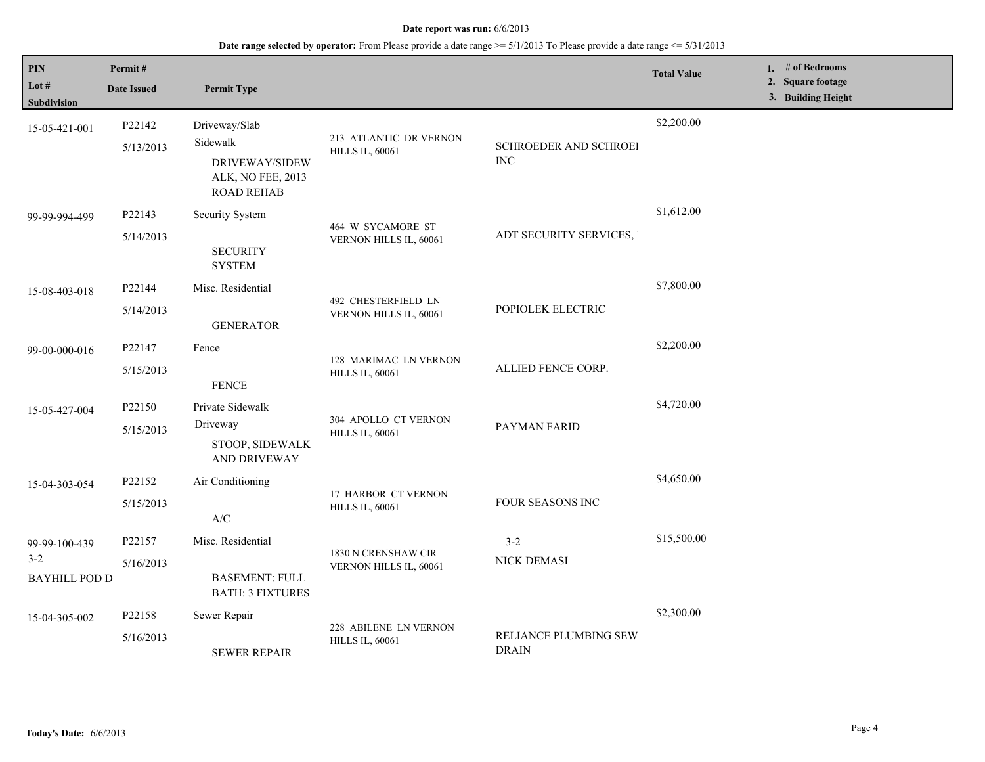| PIN<br>Lot $#$<br>Subdivision                    | Permit#<br><b>Date Issued</b> | <b>Permit Type</b>                                                                    |                                                  |                                       | <b>Total Value</b> | 1. # of Bedrooms<br>2. Square footage<br>3. Building Height |
|--------------------------------------------------|-------------------------------|---------------------------------------------------------------------------------------|--------------------------------------------------|---------------------------------------|--------------------|-------------------------------------------------------------|
| 15-05-421-001                                    | P22142<br>5/13/2013           | Driveway/Slab<br>Sidewalk<br>DRIVEWAY/SIDEW<br>ALK, NO FEE, 2013<br><b>ROAD REHAB</b> | 213 ATLANTIC DR VERNON<br><b>HILLS IL, 60061</b> | SCHROEDER AND SCHROEI<br>$\rm{INC}$   | \$2,200.00         |                                                             |
| 99-99-994-499                                    | P22143<br>5/14/2013           | Security System<br><b>SECURITY</b><br><b>SYSTEM</b>                                   | 464 W SYCAMORE ST<br>VERNON HILLS IL, 60061      | ADT SECURITY SERVICES,                | \$1,612.00         |                                                             |
| 15-08-403-018                                    | P22144<br>5/14/2013           | Misc. Residential<br><b>GENERATOR</b>                                                 | 492 CHESTERFIELD LN<br>VERNON HILLS IL, 60061    | POPIOLEK ELECTRIC                     | \$7,800.00         |                                                             |
| 99-00-000-016                                    | P22147<br>5/15/2013           | Fence<br><b>FENCE</b>                                                                 | 128 MARIMAC LN VERNON<br><b>HILLS IL, 60061</b>  | ALLIED FENCE CORP.                    | \$2,200.00         |                                                             |
| 15-05-427-004                                    | P22150<br>5/15/2013           | Private Sidewalk<br>Driveway<br>STOOP, SIDEWALK<br>AND DRIVEWAY                       | 304 APOLLO CT VERNON<br><b>HILLS IL, 60061</b>   | PAYMAN FARID                          | \$4,720.00         |                                                             |
| 15-04-303-054                                    | P22152<br>5/15/2013           | Air Conditioning<br>$\mathbf{A}/\mathbf{C}$                                           | 17 HARBOR CT VERNON<br><b>HILLS IL, 60061</b>    | FOUR SEASONS INC                      | \$4,650.00         |                                                             |
| 99-99-100-439<br>$3 - 2$<br><b>BAYHILL POD D</b> | P22157<br>5/16/2013           | Misc. Residential<br><b>BASEMENT: FULL</b><br><b>BATH: 3 FIXTURES</b>                 | 1830 N CRENSHAW CIR<br>VERNON HILLS IL, 60061    | $3 - 2$<br>NICK DEMASI                | \$15,500.00        |                                                             |
| 15-04-305-002                                    | P22158<br>5/16/2013           | Sewer Repair<br><b>SEWER REPAIR</b>                                                   | 228 ABILENE LN VERNON<br><b>HILLS IL, 60061</b>  | RELIANCE PLUMBING SEW<br><b>DRAIN</b> | \$2,300.00         |                                                             |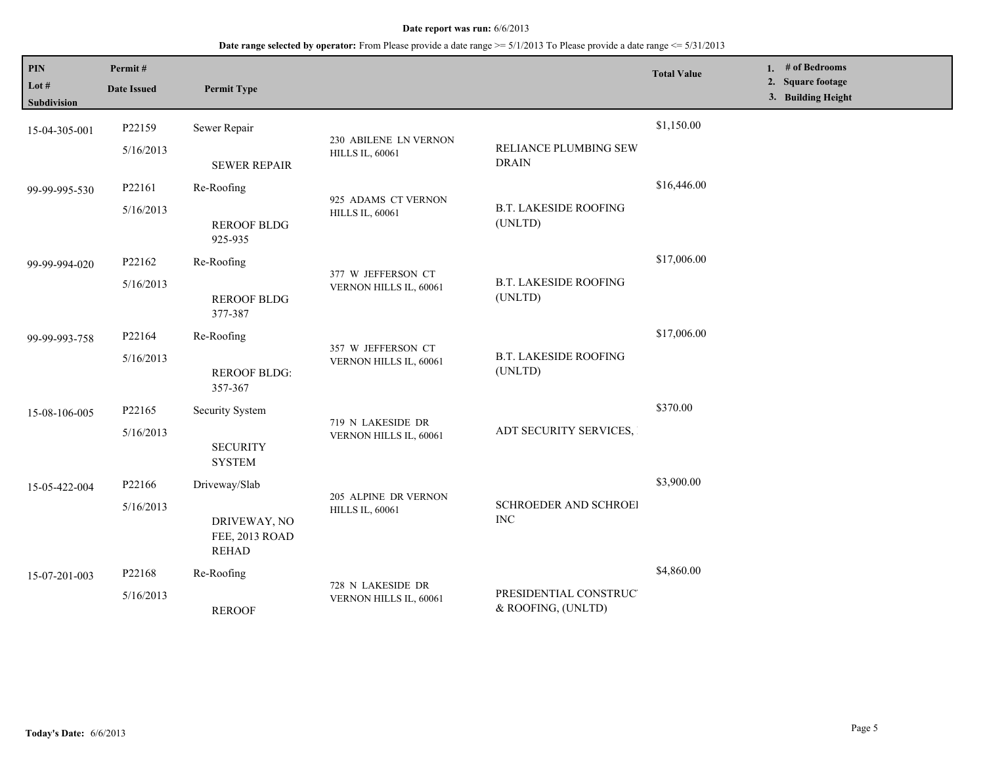**Date range selected by operator:** From Please provide a date range >= 5/1/2013 To Please provide a date range <= 5/31/2013

| PIN<br>Lot $#$<br><b>Subdivision</b> | Permit#<br><b>Date Issued</b> | <b>Permit Type</b>                             |                                                |                                              | <b>Total Value</b> | 1. # of Bedrooms<br>2. Square footage<br>3. Building Height |
|--------------------------------------|-------------------------------|------------------------------------------------|------------------------------------------------|----------------------------------------------|--------------------|-------------------------------------------------------------|
| 15-04-305-001                        | P22159                        | Sewer Repair                                   | 230 ABILENE LN VERNON                          |                                              | \$1,150.00         |                                                             |
|                                      | 5/16/2013                     | <b>SEWER REPAIR</b>                            | <b>HILLS IL, 60061</b>                         | RELIANCE PLUMBING SEW<br><b>DRAIN</b>        |                    |                                                             |
| 99-99-995-530                        | P22161                        | Re-Roofing                                     |                                                |                                              | \$16,446.00        |                                                             |
|                                      | 5/16/2013                     | <b>REROOF BLDG</b><br>925-935                  | 925 ADAMS CT VERNON<br><b>HILLS IL, 60061</b>  | <b>B.T. LAKESIDE ROOFING</b><br>(UNLTD)      |                    |                                                             |
| 99-99-994-020                        | P22162                        | Re-Roofing                                     | 377 W JEFFERSON CT<br>VERNON HILLS IL, 60061   |                                              | \$17,006.00        |                                                             |
|                                      | 5/16/2013                     | <b>REROOF BLDG</b><br>377-387                  |                                                | <b>B.T. LAKESIDE ROOFING</b><br>(UNLTD)      |                    |                                                             |
| 99-99-993-758                        | P22164                        | Re-Roofing                                     |                                                |                                              | \$17,006.00        |                                                             |
|                                      | 5/16/2013                     | <b>REROOF BLDG:</b><br>357-367                 | 357 W JEFFERSON CT<br>VERNON HILLS IL, 60061   | <b>B.T. LAKESIDE ROOFING</b><br>(UNLTD)      |                    |                                                             |
| 15-08-106-005                        | P22165                        | Security System                                |                                                | ADT SECURITY SERVICES,                       | \$370.00           |                                                             |
|                                      | 5/16/2013                     | <b>SECURITY</b><br><b>SYSTEM</b>               | 719 N LAKESIDE DR<br>VERNON HILLS IL, 60061    |                                              |                    |                                                             |
| 15-05-422-004                        | P22166                        | Driveway/Slab                                  |                                                |                                              | \$3,900.00         |                                                             |
|                                      | 5/16/2013                     | DRIVEWAY, NO<br>FEE, 2013 ROAD<br><b>REHAD</b> | 205 ALPINE DR VERNON<br><b>HILLS IL, 60061</b> | <b>SCHROEDER AND SCHROEI</b><br><b>INC</b>   |                    |                                                             |
| 15-07-201-003                        | P22168                        | Re-Roofing                                     |                                                |                                              | \$4,860.00         |                                                             |
|                                      | 5/16/2013                     | <b>REROOF</b>                                  | 728 N LAKESIDE DR<br>VERNON HILLS IL, 60061    | PRESIDENTIAL CONSTRUC'<br>& ROOFING, (UNLTD) |                    |                                                             |

L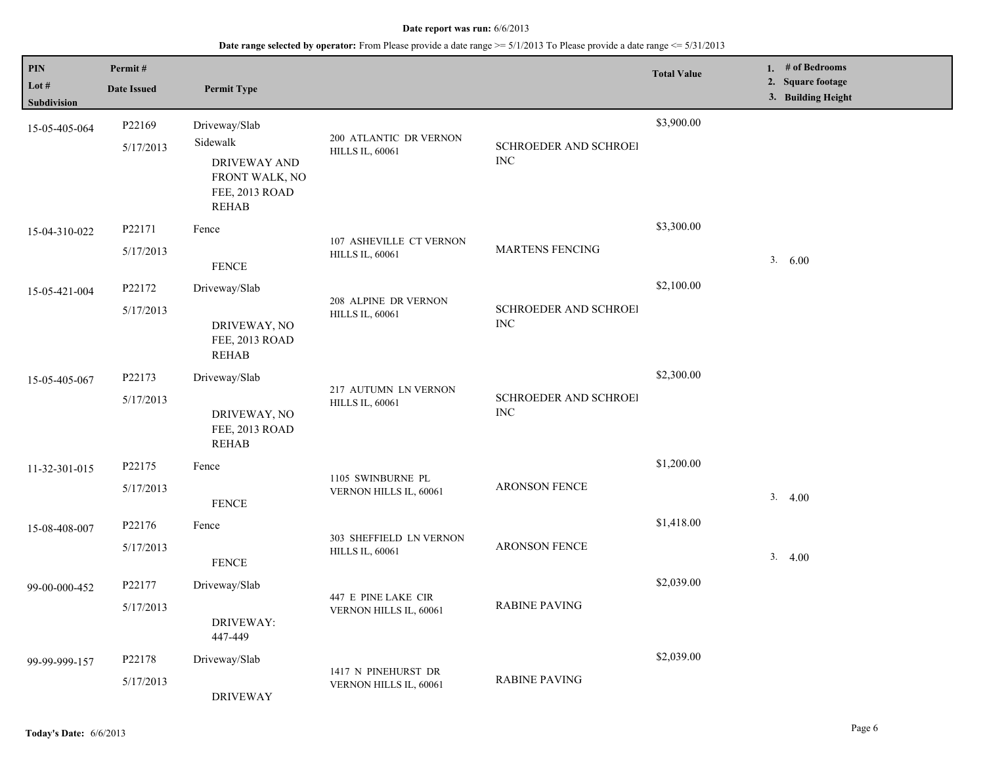| $\bf{PIN}$           | Permit#             |                                                                                               |                                                   |                                     | <b>Total Value</b> | 1. $#$ of Bedrooms                      |
|----------------------|---------------------|-----------------------------------------------------------------------------------------------|---------------------------------------------------|-------------------------------------|--------------------|-----------------------------------------|
| Lot #<br>Subdivision | <b>Date Issued</b>  | <b>Permit Type</b>                                                                            |                                                   |                                     |                    | 2. Square footage<br>3. Building Height |
| 15-05-405-064        | P22169<br>5/17/2013 | Driveway/Slab<br>Sidewalk<br>DRIVEWAY AND<br>FRONT WALK, NO<br>FEE, 2013 ROAD<br><b>REHAB</b> | 200 ATLANTIC DR VERNON<br><b>HILLS IL, 60061</b>  | SCHROEDER AND SCHROEI<br><b>INC</b> | \$3,900.00         |                                         |
| 15-04-310-022        | P22171<br>5/17/2013 | Fence<br>${\tt FENCE}$                                                                        | 107 ASHEVILLE CT VERNON<br><b>HILLS IL, 60061</b> | <b>MARTENS FENCING</b>              | \$3,300.00         | 3. 6.00                                 |
| 15-05-421-004        | P22172<br>5/17/2013 | Driveway/Slab<br>DRIVEWAY, NO<br>FEE, 2013 ROAD<br><b>REHAB</b>                               | 208 ALPINE DR VERNON<br><b>HILLS IL, 60061</b>    | SCHROEDER AND SCHROEI<br><b>INC</b> | \$2,100.00         |                                         |
| 15-05-405-067        | P22173<br>5/17/2013 | Driveway/Slab<br>DRIVEWAY, NO<br>FEE, 2013 ROAD<br><b>REHAB</b>                               | 217 AUTUMN LN VERNON<br><b>HILLS IL, 60061</b>    | SCHROEDER AND SCHROEI<br><b>INC</b> | \$2,300.00         |                                         |
| 11-32-301-015        | P22175<br>5/17/2013 | Fence<br><b>FENCE</b>                                                                         | 1105 SWINBURNE PL<br>VERNON HILLS IL, 60061       | <b>ARONSON FENCE</b>                | \$1,200.00         | 3.4.00                                  |
| 15-08-408-007        | P22176<br>5/17/2013 | Fence<br><b>FENCE</b>                                                                         | 303 SHEFFIELD LN VERNON<br><b>HILLS IL, 60061</b> | ARONSON FENCE                       | \$1,418.00         | 3.<br>4.00                              |
| 99-00-000-452        | P22177<br>5/17/2013 | Driveway/Slab<br>DRIVEWAY:<br>447-449                                                         | 447 E PINE LAKE CIR<br>VERNON HILLS IL, 60061     | <b>RABINE PAVING</b>                | \$2,039.00         |                                         |
| 99-99-999-157        | P22178<br>5/17/2013 | Driveway/Slab<br><b>DRIVEWAY</b>                                                              | 1417 N PINEHURST DR<br>VERNON HILLS IL, 60061     | <b>RABINE PAVING</b>                | \$2,039.00         |                                         |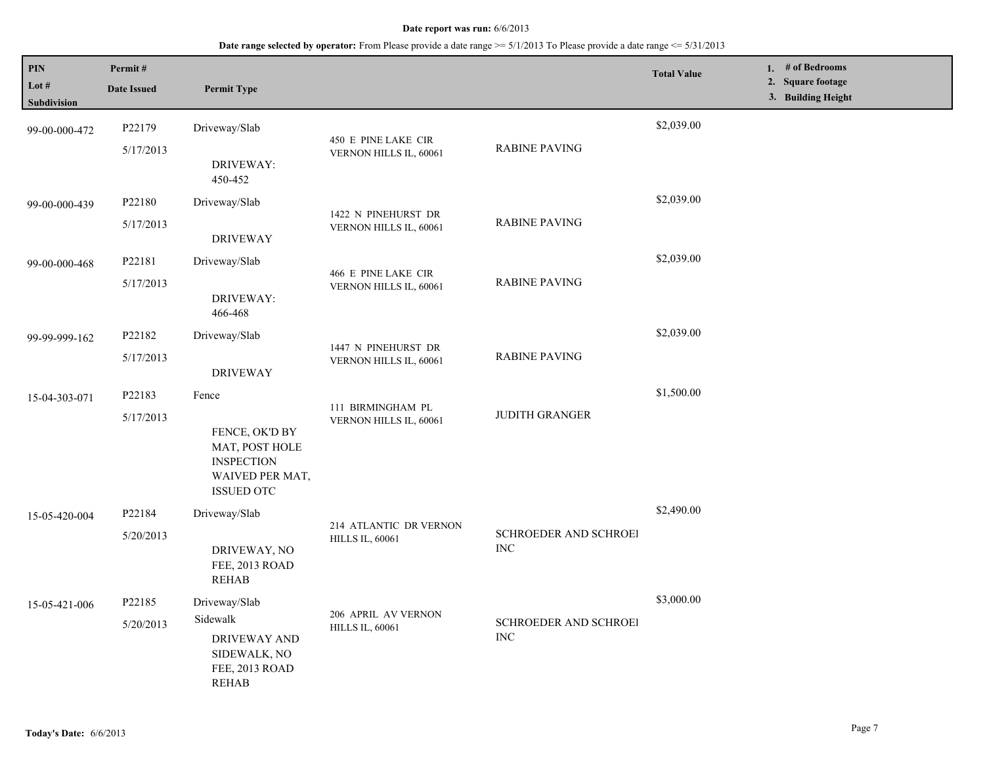| PIN<br>Lot #<br>Subdivision | Permit#<br><b>Date Issued</b> | <b>Permit Type</b>                                                                                     |                                                  |                                     | <b>Total Value</b> | 1. $#$ of Bedrooms<br>2. Square footage<br>3. Building Height |
|-----------------------------|-------------------------------|--------------------------------------------------------------------------------------------------------|--------------------------------------------------|-------------------------------------|--------------------|---------------------------------------------------------------|
| 99-00-000-472               | P22179<br>5/17/2013           | Driveway/Slab<br>DRIVEWAY:<br>450-452                                                                  | 450 E PINE LAKE CIR<br>VERNON HILLS IL, 60061    | <b>RABINE PAVING</b>                | \$2,039.00         |                                                               |
| 99-00-000-439               | P22180<br>5/17/2013           | Driveway/Slab<br><b>DRIVEWAY</b>                                                                       | 1422 N PINEHURST DR<br>VERNON HILLS IL, 60061    | <b>RABINE PAVING</b>                | \$2,039.00         |                                                               |
| 99-00-000-468               | P22181<br>5/17/2013           | Driveway/Slab<br>DRIVEWAY:<br>466-468                                                                  | 466 E PINE LAKE CIR<br>VERNON HILLS IL, 60061    | <b>RABINE PAVING</b>                | \$2,039.00         |                                                               |
| 99-99-999-162               | P22182<br>5/17/2013           | Driveway/Slab<br><b>DRIVEWAY</b>                                                                       | 1447 N PINEHURST DR<br>VERNON HILLS IL, 60061    | <b>RABINE PAVING</b>                | \$2,039.00         |                                                               |
| 15-04-303-071               | P22183<br>5/17/2013           | Fence<br>FENCE, OK'D BY<br>MAT, POST HOLE<br><b>INSPECTION</b><br>WAIVED PER MAT,<br><b>ISSUED OTC</b> | 111 BIRMINGHAM PL<br>VERNON HILLS IL, 60061      | <b>JUDITH GRANGER</b>               | \$1,500.00         |                                                               |
| 15-05-420-004               | P22184<br>5/20/2013           | Driveway/Slab<br>DRIVEWAY, NO<br>FEE, 2013 ROAD<br><b>REHAB</b>                                        | 214 ATLANTIC DR VERNON<br><b>HILLS IL, 60061</b> | SCHROEDER AND SCHROEI<br><b>INC</b> | \$2,490.00         |                                                               |
| 15-05-421-006               | P22185<br>5/20/2013           | Driveway/Slab<br>Sidewalk<br>DRIVEWAY AND<br>SIDEWALK, NO<br>FEE, 2013 ROAD<br><b>REHAB</b>            | 206 APRIL AV VERNON<br><b>HILLS IL, 60061</b>    | SCHROEDER AND SCHROEI<br><b>INC</b> | \$3,000.00         |                                                               |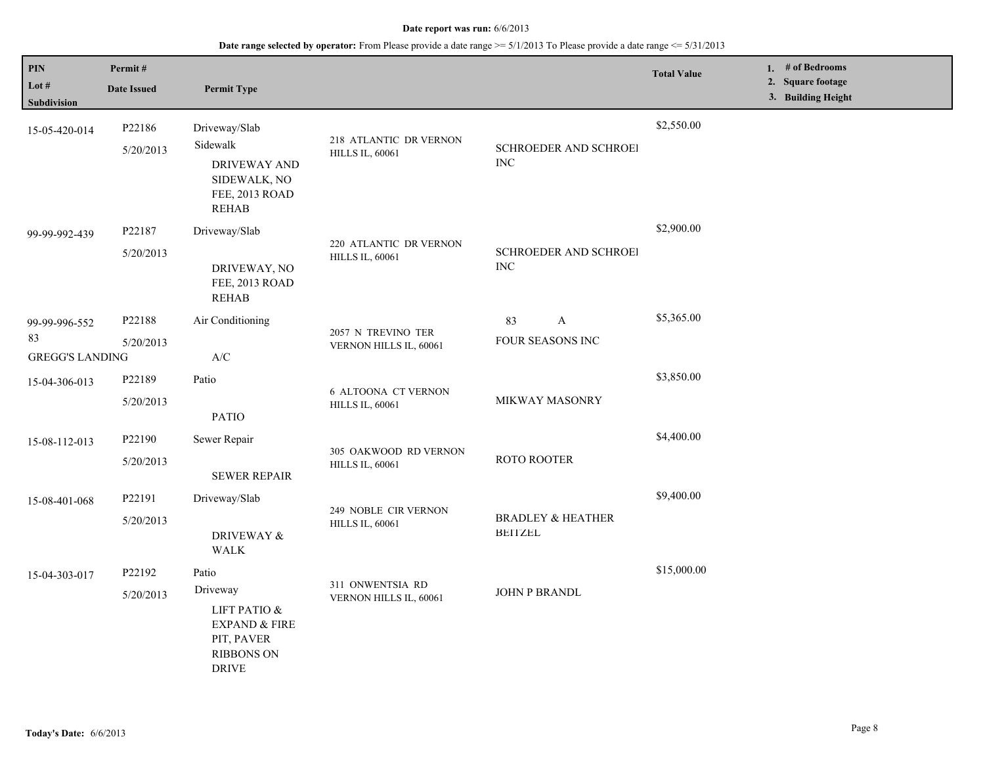| PIN<br>Lot #                                  | Permit#<br><b>Date Issued</b> | <b>Permit Type</b>                                                                                               |                                                      |                                                | <b>Total Value</b> | 1. # of Bedrooms<br>2. Square footage |
|-----------------------------------------------|-------------------------------|------------------------------------------------------------------------------------------------------------------|------------------------------------------------------|------------------------------------------------|--------------------|---------------------------------------|
| <b>Subdivision</b>                            |                               |                                                                                                                  |                                                      |                                                |                    | 3. Building Height                    |
| 15-05-420-014                                 | P22186<br>5/20/2013           | Driveway/Slab<br>Sidewalk<br>DRIVEWAY AND<br>SIDEWALK, NO<br>FEE, 2013 ROAD<br><b>REHAB</b>                      | 218 ATLANTIC DR VERNON<br><b>HILLS IL, 60061</b>     | SCHROEDER AND SCHROEI<br><b>INC</b>            | \$2,550.00         |                                       |
| 99-99-992-439                                 | P22187<br>5/20/2013           | Driveway/Slab<br>DRIVEWAY, NO<br>FEE, 2013 ROAD<br><b>REHAB</b>                                                  | 220 ATLANTIC DR VERNON<br><b>HILLS IL, 60061</b>     | SCHROEDER AND SCHROEI<br><b>INC</b>            | \$2,900.00         |                                       |
| 99-99-996-552<br>83<br><b>GREGG'S LANDING</b> | P22188<br>5/20/2013           | Air Conditioning<br>A/C                                                                                          | 2057 N TREVINO TER<br>VERNON HILLS IL, 60061         | A<br>83<br>FOUR SEASONS INC                    | \$5,365.00         |                                       |
| 15-04-306-013                                 | P22189<br>5/20/2013           | Patio<br><b>PATIO</b>                                                                                            | <b>6 ALTOONA CT VERNON</b><br><b>HILLS IL, 60061</b> | MIKWAY MASONRY                                 | \$3,850.00         |                                       |
| 15-08-112-013                                 | P22190<br>5/20/2013           | Sewer Repair<br><b>SEWER REPAIR</b>                                                                              | 305 OAKWOOD RD VERNON<br><b>HILLS IL, 60061</b>      | ROTO ROOTER                                    | \$4,400.00         |                                       |
| 15-08-401-068                                 | P22191<br>5/20/2013           | Driveway/Slab<br>DRIVEWAY &<br><b>WALK</b>                                                                       | 249 NOBLE CIR VERNON<br><b>HILLS IL, 60061</b>       | <b>BRADLEY &amp; HEATHER</b><br><b>BEITZEL</b> | \$9,400.00         |                                       |
| 15-04-303-017                                 | P22192<br>5/20/2013           | Patio<br>Driveway<br>LIFT PATIO &<br><b>EXPAND &amp; FIRE</b><br>PIT, PAVER<br><b>RIBBONS ON</b><br><b>DRIVE</b> | 311 ONWENTSIA RD<br>VERNON HILLS IL, 60061           | JOHN P BRANDL                                  | \$15,000.00        |                                       |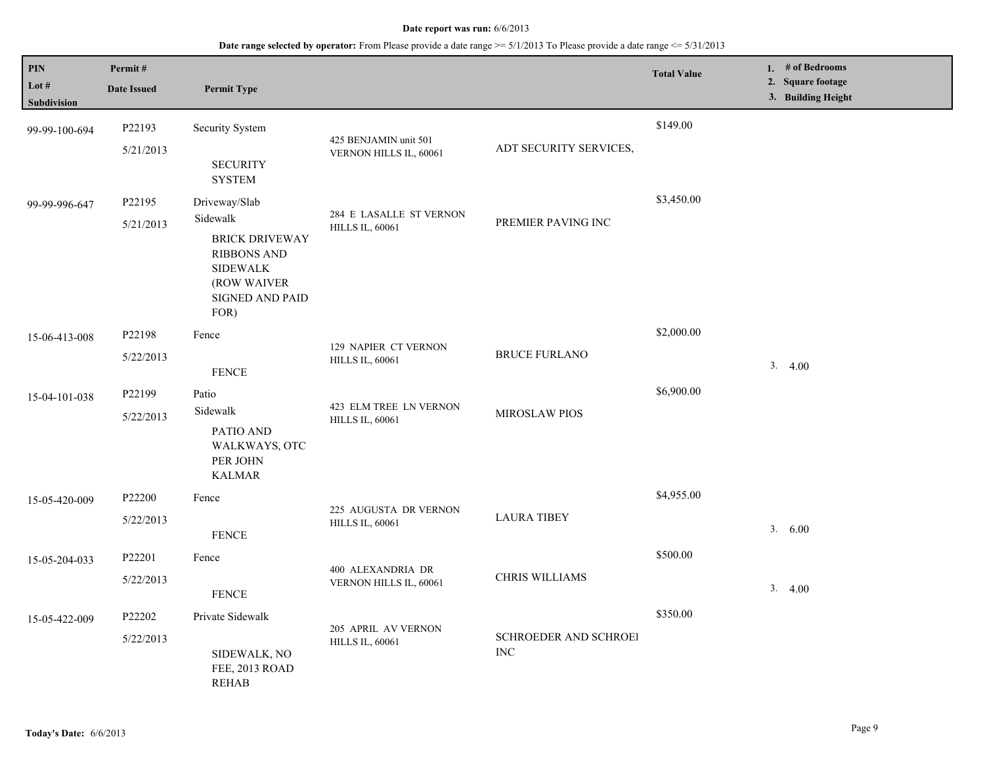| $\mathbf{PIN}$<br>Lot #<br><b>Subdivision</b> | Permit#<br><b>Date Issued</b> | <b>Permit Type</b>                                                                                                                    |                                                       |                                     | <b>Total Value</b> | 1. $#$ of Bedrooms<br>2. Square footage<br>3. Building Height |
|-----------------------------------------------|-------------------------------|---------------------------------------------------------------------------------------------------------------------------------------|-------------------------------------------------------|-------------------------------------|--------------------|---------------------------------------------------------------|
| 99-99-100-694                                 | P22193<br>5/21/2013           | Security System<br><b>SECURITY</b><br><b>SYSTEM</b>                                                                                   | 425 BENJAMIN unit 501<br>VERNON HILLS IL, 60061       | ADT SECURITY SERVICES,              | \$149.00           |                                                               |
| 99-99-996-647                                 | P22195<br>5/21/2013           | Driveway/Slab<br>Sidewalk<br><b>BRICK DRIVEWAY</b><br><b>RIBBONS AND</b><br><b>SIDEWALK</b><br>(ROW WAIVER<br>SIGNED AND PAID<br>FOR) | 284 E LASALLE ST VERNON<br><b>HILLS IL, 60061</b>     | PREMIER PAVING INC                  | \$3,450.00         |                                                               |
| 15-06-413-008                                 | P22198<br>5/22/2013           | Fence<br><b>FENCE</b>                                                                                                                 | <b>129 NAPIER CT VERNON</b><br><b>HILLS IL, 60061</b> | <b>BRUCE FURLANO</b>                | \$2,000.00         | 3.4.00                                                        |
| 15-04-101-038                                 | P22199<br>5/22/2013           | Patio<br>Sidewalk<br>PATIO AND<br>WALKWAYS, OTC<br>PER JOHN<br><b>KALMAR</b>                                                          | 423 ELM TREE LN VERNON<br><b>HILLS IL, 60061</b>      | <b>MIROSLAW PIOS</b>                | \$6,900.00         |                                                               |
| 15-05-420-009                                 | P22200<br>5/22/2013           | Fence<br><b>FENCE</b>                                                                                                                 | 225 AUGUSTA DR VERNON<br><b>HILLS IL, 60061</b>       | <b>LAURA TIBEY</b>                  | \$4,955.00         | 3. 6.00                                                       |
| 15-05-204-033                                 | P22201<br>5/22/2013           | Fence<br><b>FENCE</b>                                                                                                                 | 400 ALEXANDRIA DR<br>VERNON HILLS IL, 60061           | CHRIS WILLIAMS                      | \$500.00           | 3.4.00                                                        |
| 15-05-422-009                                 | P22202<br>5/22/2013           | Private Sidewalk<br>SIDEWALK, NO<br>FEE, 2013 ROAD<br><b>REHAB</b>                                                                    | 205 APRIL AV VERNON<br><b>HILLS IL, 60061</b>         | SCHROEDER AND SCHROEI<br><b>INC</b> | \$350.00           |                                                               |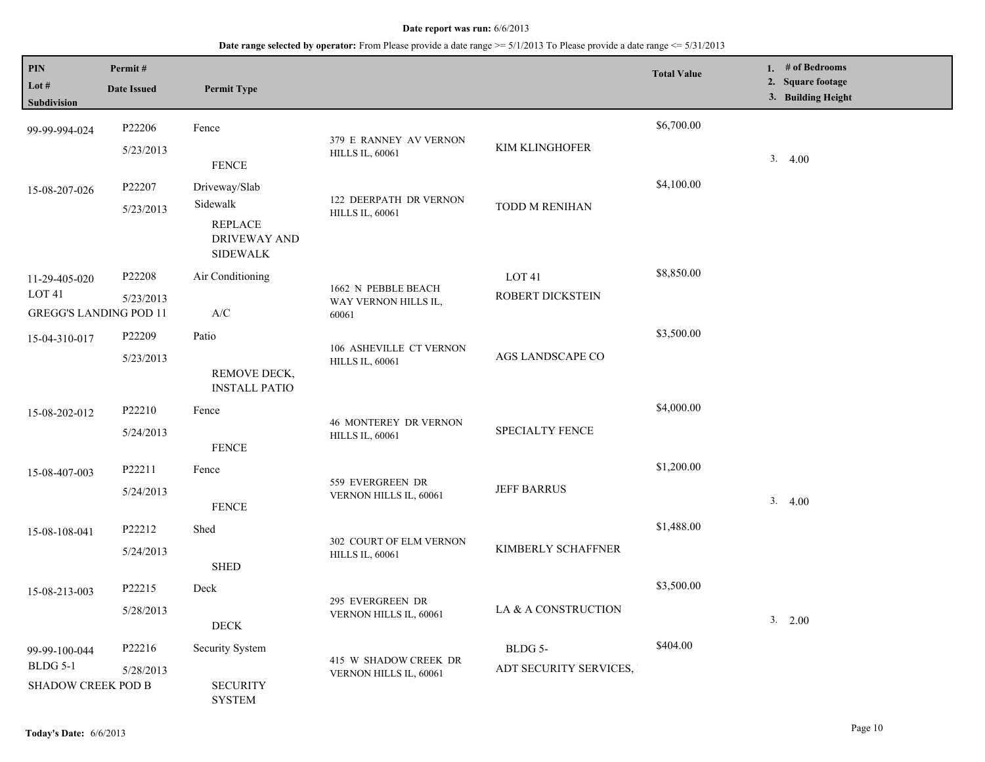| <b>PIN</b><br>Lot $#$<br>Subdivision                                | Permit#<br><b>Date Issued</b> | <b>Permit Type</b>                                                             |                                                        |                                       | <b>Total Value</b> | 1. # of Bedrooms<br>2. Square footage<br>3. Building Height |
|---------------------------------------------------------------------|-------------------------------|--------------------------------------------------------------------------------|--------------------------------------------------------|---------------------------------------|--------------------|-------------------------------------------------------------|
| 99-99-994-024                                                       | P22206<br>5/23/2013           | Fence<br><b>FENCE</b>                                                          | 379 E RANNEY AV VERNON<br><b>HILLS IL, 60061</b>       | KIM KLINGHOFER                        | \$6,700.00         | 3.4.00                                                      |
| 15-08-207-026                                                       | P22207<br>5/23/2013           | Driveway/Slab<br>Sidewalk<br><b>REPLACE</b><br>DRIVEWAY AND<br><b>SIDEWALK</b> | 122 DEERPATH DR VERNON<br><b>HILLS IL, 60061</b>       | TODD M RENIHAN                        | \$4,100.00         |                                                             |
| 11-29-405-020<br>LOT <sub>41</sub><br><b>GREGG'S LANDING POD 11</b> | P22208<br>5/23/2013           | Air Conditioning<br>$\mathbf{A}/\mathbf{C}$                                    | 1662 N PEBBLE BEACH<br>WAY VERNON HILLS IL,<br>60061   | LOT <sub>41</sub><br>ROBERT DICKSTEIN | \$8,850.00         |                                                             |
| 15-04-310-017                                                       | P22209<br>5/23/2013           | Patio<br>REMOVE DECK,<br><b>INSTALL PATIO</b>                                  | 106 ASHEVILLE CT VERNON<br><b>HILLS IL, 60061</b>      | AGS LANDSCAPE CO                      | \$3,500.00         |                                                             |
| 15-08-202-012                                                       | P22210<br>5/24/2013           | Fence<br><b>FENCE</b>                                                          | <b>46 MONTEREY DR VERNON</b><br><b>HILLS IL, 60061</b> | <b>SPECIALTY FENCE</b>                | \$4,000.00         |                                                             |
| 15-08-407-003                                                       | P22211<br>5/24/2013           | Fence<br><b>FENCE</b>                                                          | 559 EVERGREEN DR<br>VERNON HILLS IL, 60061             | <b>JEFF BARRUS</b>                    | \$1,200.00         | 3.4.00                                                      |
| 15-08-108-041                                                       | P22212<br>5/24/2013           | Shed<br><b>SHED</b>                                                            | 302 COURT OF ELM VERNON<br><b>HILLS IL, 60061</b>      | KIMBERLY SCHAFFNER                    | \$1,488.00         |                                                             |
| 15-08-213-003                                                       | P22215<br>5/28/2013           | Deck<br>$\rm{DECK}$                                                            | 295 EVERGREEN DR<br>VERNON HILLS IL, 60061             | LA & A CONSTRUCTION                   | \$3,500.00         | 3. 2.00                                                     |
| 99-99-100-044<br><b>BLDG 5-1</b><br>SHADOW CREEK POD B              | P22216<br>5/28/2013           | Security System<br><b>SECURITY</b><br><b>SYSTEM</b>                            | 415 W SHADOW CREEK DR<br>VERNON HILLS IL, 60061        | BLDG 5-<br>ADT SECURITY SERVICES,     | \$404.00           |                                                             |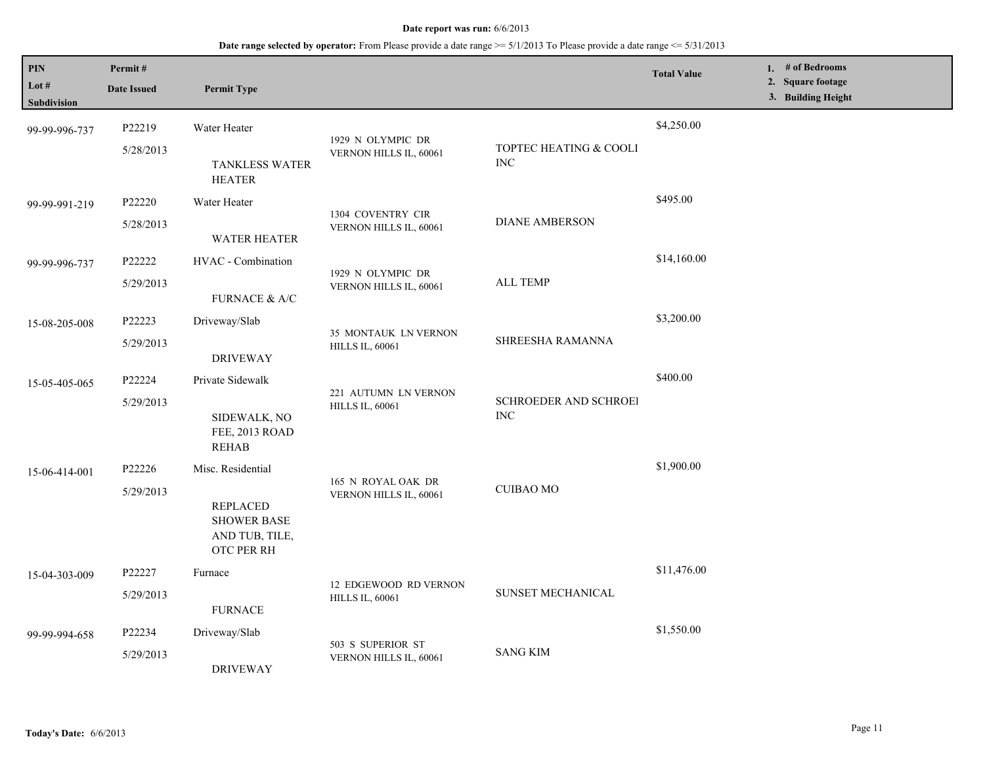| PIN<br>Lot #<br><b>Subdivision</b> | Permit#<br><b>Date Issued</b> | <b>Permit Type</b>                                                    |                                                 |                                      | <b>Total Value</b> | 1. # of Bedrooms<br>2. Square footage<br>3. Building Height |
|------------------------------------|-------------------------------|-----------------------------------------------------------------------|-------------------------------------------------|--------------------------------------|--------------------|-------------------------------------------------------------|
| 99-99-996-737                      | P22219                        | Water Heater                                                          | 1929 N OLYMPIC DR                               |                                      | \$4,250.00         |                                                             |
|                                    | 5/28/2013                     | <b>TANKLESS WATER</b><br><b>HEATER</b>                                | VERNON HILLS IL, 60061                          | TOPTEC HEATING & COOLI<br>$\rm{INC}$ |                    |                                                             |
| 99-99-991-219                      | P22220                        | Water Heater                                                          |                                                 |                                      | \$495.00           |                                                             |
|                                    | 5/28/2013                     | <b>WATER HEATER</b>                                                   | 1304 COVENTRY CIR<br>VERNON HILLS IL, 60061     | <b>DIANE AMBERSON</b>                |                    |                                                             |
| 99-99-996-737                      | P22222                        | HVAC - Combination                                                    | 1929 N OLYMPIC DR                               | <b>ALL TEMP</b>                      | \$14,160.00        |                                                             |
|                                    | 5/29/2013                     | FURNACE & A/C                                                         | VERNON HILLS IL, 60061                          |                                      |                    |                                                             |
| 15-08-205-008                      | P22223                        | Driveway/Slab                                                         |                                                 |                                      | \$3,200.00         |                                                             |
|                                    | 5/29/2013                     | <b>DRIVEWAY</b>                                                       | 35 MONTAUK LN VERNON<br><b>HILLS IL, 60061</b>  | SHREESHA RAMANNA                     |                    |                                                             |
| 15-05-405-065                      | P22224                        | Private Sidewalk                                                      |                                                 |                                      | \$400.00           |                                                             |
|                                    | 5/29/2013                     | SIDEWALK, NO<br>FEE, 2013 ROAD<br><b>REHAB</b>                        | 221 AUTUMN LN VERNON<br><b>HILLS IL, 60061</b>  | SCHROEDER AND SCHROEI<br><b>INC</b>  |                    |                                                             |
| 15-06-414-001                      | P22226                        | Misc. Residential                                                     | 165 N ROYAL OAK DR                              |                                      | \$1,900.00         |                                                             |
|                                    | 5/29/2013                     | <b>REPLACED</b><br><b>SHOWER BASE</b><br>AND TUB, TILE,<br>OTC PER RH | VERNON HILLS IL, 60061                          | <b>CUIBAO MO</b>                     |                    |                                                             |
| 15-04-303-009                      | P22227                        | Furnace                                                               |                                                 |                                      | \$11,476.00        |                                                             |
|                                    | 5/29/2013                     | <b>FURNACE</b>                                                        | 12 EDGEWOOD RD VERNON<br><b>HILLS IL, 60061</b> | SUNSET MECHANICAL                    |                    |                                                             |
| 99-99-994-658                      | P22234                        | Driveway/Slab                                                         |                                                 | <b>SANG KIM</b>                      | \$1,550.00         |                                                             |
|                                    | 5/29/2013                     | <b>DRIVEWAY</b>                                                       | 503 S SUPERIOR ST<br>VERNON HILLS IL, 60061     |                                      |                    |                                                             |